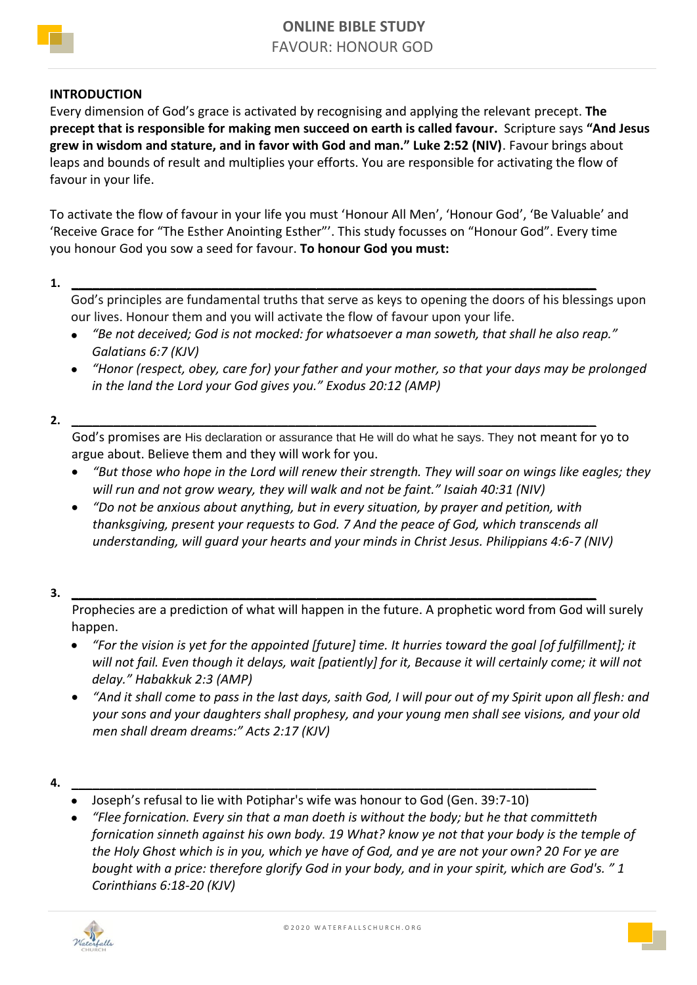

## **INTRODUCTION**

Every dimension of God's grace is activated by recognising and applying the relevant precept. **The precept that is responsible for making men succeed on earth is called favour.** Scripture says **"And Jesus grew in wisdom and stature, and in favor with God and man." Luke 2:52 (NIV)**. Favour brings about leaps and bounds of result and multiplies your efforts. You are responsible for activating the flow of favour in your life.

To activate the flow of favour in your life you must 'Honour All Men', 'Honour God', 'Be Valuable' and 'Receive Grace for "The Esther Anointing Esther"'. This study focusses on "Honour God". Every time you honour God you sow a seed for favour. **To honour God you must:**

**1. \_\_\_\_\_\_\_\_\_\_\_\_\_\_\_\_\_\_\_\_\_\_\_\_\_\_\_\_\_\_\_\_\_\_\_\_\_\_\_\_\_\_\_\_\_\_\_\_\_\_\_\_\_\_\_\_\_\_\_\_\_\_\_\_\_\_\_\_\_\_\_\_\_\_\_**

God's principles are fundamental truths that serve as keys to opening the doors of his blessings upon our lives. Honour them and you will activate the flow of favour upon your life.

- *"Be not deceived; God is not mocked: for whatsoever a man soweth, that shall he also reap." Galatians 6:7 (KJV)*
- *"Honor (respect, obey, care for) your father and your mother, so that your days may be prolonged in the land the Lord your God gives you." Exodus 20:12 (AMP)*

**2. \_\_\_\_\_\_\_\_\_\_\_\_\_\_\_\_\_\_\_\_\_\_\_\_\_\_\_\_\_\_\_\_\_\_\_\_\_\_\_\_\_\_\_\_\_\_\_\_\_\_\_\_\_\_\_\_\_\_\_\_\_\_\_\_\_\_\_\_\_\_\_\_\_\_\_**

God's promises are His declaration or assurance that He will do what he says. They not meant for yo to argue about. Believe them and they will work for you.

- *"But those who hope in the Lord will renew their strength. They will soar on wings like eagles; they will run and not grow weary, they will walk and not be faint." Isaiah 40:31 (NIV)*
- *"Do not be anxious about anything, but in every situation, by prayer and petition, with thanksgiving, present your requests to God. 7 And the peace of God, which transcends all understanding, will guard your hearts and your minds in Christ Jesus. Philippians 4:6-7 (NIV)*

**3. \_\_\_\_\_\_\_\_\_\_\_\_\_\_\_\_\_\_\_\_\_\_\_\_\_\_\_\_\_\_\_\_\_\_\_\_\_\_\_\_\_\_\_\_\_\_\_\_\_\_\_\_\_\_\_\_\_\_\_\_\_\_\_\_\_\_\_\_\_\_\_\_\_\_\_**

Prophecies are a prediction of what will happen in the future. A prophetic word from God will surely happen.

- *"For the vision is yet for the appointed [future] time. It hurries toward the goal [of fulfillment]; it will not fail. Even though it delays, wait [patiently] for it, Because it will certainly come; it will not delay." Habakkuk 2:3 (AMP)*
- *"And it shall come to pass in the last days, saith God, I will pour out of my Spirit upon all flesh: and your sons and your daughters shall prophesy, and your young men shall see visions, and your old men shall dream dreams:" Acts 2:17 (KJV)*

**4. \_\_\_\_\_\_\_\_\_\_\_\_\_\_\_\_\_\_\_\_\_\_\_\_\_\_\_\_\_\_\_\_\_\_\_\_\_\_\_\_\_\_\_\_\_\_\_\_\_\_\_\_\_\_\_\_\_\_\_\_\_\_\_\_\_\_\_\_\_\_\_\_\_\_\_**

- Joseph's refusal to lie with Potiphar's wife was honour to God (Gen. 39:7-10)
- *"Flee fornication. Every sin that a man doeth is without the body; but he that committeth fornication sinneth against his own body. 19 What? know ye not that your body is the temple of the Holy Ghost which is in you, which ye have of God, and ye are not your own? 20 For ye are bought with a price: therefore glorify God in your body, and in your spirit, which are God's. " 1 Corinthians 6:18-20 (KJV)*